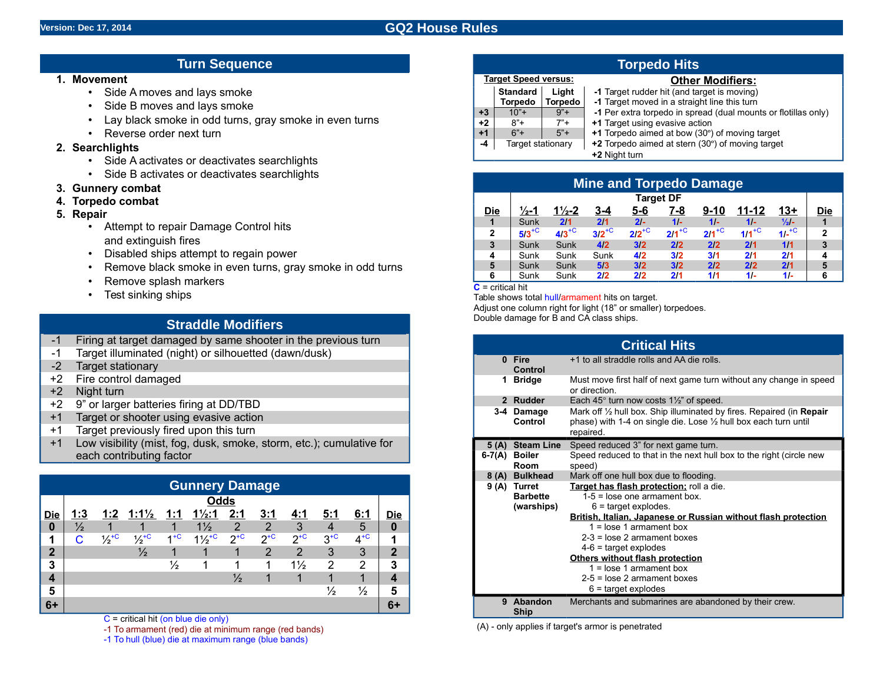# **Version: Dec 17, 2014 GQ2 House Rules**

# **Turn Sequence**

#### **1. Movement**

- Side A moves and lays smoke
- Side B moves and lays smoke
- Lay black smoke in odd turns, gray smoke in even turns
- Reverse order next turn

# **2. Searchlights**

- Side A activates or deactivates searchlights
- Side B activates or deactivates searchlights
- **3. Gunnery combat**
- **4. Torpedo combat**
- **5. Repair**
	- Attempt to repair Damage Control hits and extinguish fires
	- Disabled ships attempt to regain power
	- Remove black smoke in even turns, gray smoke in odd turns
	- Remove splash markers
	- Test sinking ships

# **Straddle Modifiers**

- -1 Firing at target damaged by same shooter in the previous turn
- -1 Target illuminated (night) or silhouetted (dawn/dusk)
- -2 Target stationary
- +2 Fire control damaged
- +2 Night turn
- +2 9" or larger batteries firing at DD/TBD
- +1 Target or shooter using evasive action
- +1 Target previously fired upon this turn
- +1 Low visibility (mist, fog, dusk, smoke, storm, etc.); cumulative each contributing factor

| <b>Gunnery Damage</b> |               |                             |                             |               |                   |               |               |                     |          |               |     |
|-----------------------|---------------|-----------------------------|-----------------------------|---------------|-------------------|---------------|---------------|---------------------|----------|---------------|-----|
| <b>Odds</b>           |               |                             |                             |               |                   |               |               |                     |          |               |     |
| <b>Die</b>            | 1:3           | 1:2                         | $1:1\frac{1}{2}$            | 1:1           | $1\frac{1}{2}$ :1 | 2:1           | 3:1           | 4:1                 | 5:1      | 6:1           | Die |
| $\boldsymbol{0}$      | $\frac{1}{2}$ |                             |                             |               | $1\frac{1}{2}$    | $\mathcal{P}$ | $\mathcal{P}$ | 3                   |          | 5             | 0   |
| 1                     | C.            | $\frac{1}{2}$ <sup>+C</sup> | $\frac{1}{2}$ <sup>+C</sup> | $4 + C$       | $1\frac{1}{2}$    | $2^{+C}$      | $2^{+C}$      | $2^{+\overline{C}}$ | $3^{+C}$ | $4^{+C}$      | 4   |
| $\overline{2}$        |               |                             | $\frac{1}{2}$               |               |                   |               | 2             | 2                   | 3        | 3             | 2   |
| 3                     |               |                             |                             | $\frac{1}{2}$ |                   |               |               | $1\frac{1}{2}$      | 2        | 2             | 3   |
| 4                     |               |                             |                             |               |                   | $\frac{1}{2}$ |               |                     |          |               |     |
| 5                     |               |                             |                             |               |                   |               |               |                     | ⅓        | $\frac{1}{2}$ | 5   |
| $6+$                  |               |                             |                             |               |                   |               |               |                     |          |               |     |

 $C$  = critical hit (on blue die only)

-1 To armament (red) die at minimum range (red bands)

-1 To hull (blue) die at maximum range (blue bands)

|      | <b>Target Speed versus:</b> |         | <b>Other Modifiers:</b>                                        |
|------|-----------------------------|---------|----------------------------------------------------------------|
|      | <b>Standard</b>             | Liaht   | -1 Target rudder hit (and target is moving)                    |
|      | Torpedo                     | Torpedo | -1 Target moved in a straight line this turn                   |
| +3   | $10"+$                      | $9"+$   | -1 Per extra torpedo in spread (dual mounts or flotillas only) |
| $+2$ | $8"+$                       | $7"+$   | +1 Target using evasive action                                 |
| $+1$ | $6"+$                       | $5"+$   | +1 Torpedo aimed at bow (30°) of moving target                 |
| -4   | Target stationary           |         | +2 Torpedo aimed at stern (30°) of moving target               |
|      |                             |         | +2 Night turn                                                  |

| <b>Mine and Torpedo Damage</b> |                     |                     |                     |            |            |            |            |                 |              |
|--------------------------------|---------------------|---------------------|---------------------|------------|------------|------------|------------|-----------------|--------------|
|                                | <b>Target DF</b>    |                     |                     |            |            |            |            |                 |              |
| <b>Die</b>                     | $\frac{1}{2}$ -1    | $1\frac{1}{2} - 2$  | 3-4                 | $5 - 6$    | <u>7-8</u> | $9-10$     | $11 - 12$  | <u> 13+</u>     | <u>Die</u>   |
| $\overline{1}$                 | Sunk                | 2/1                 | 2/1                 | $21 -$     | $11-$      | $11-$      | $1/-$      | $\frac{1}{2}$ - |              |
| $\overline{2}$                 | $5/3$ <sup>+C</sup> | $4/3$ <sup>+C</sup> | $3/2$ <sup>+C</sup> | $2/2^{+C}$ | $2/1^{+C}$ | $211^{+C}$ | $1/1^{+C}$ | $1/r^{+C}$      | $\mathbf{2}$ |
| $\mathbf{3}$                   | Sunk                | Sunk                | 4/2                 | 3/2        | 2/2        | 2/2        | 2/1        | 1/1             | 3            |
| 4                              | Sunk                | Sunk                | Sunk                | 4/2        | 3/2        | 3/1        | 2/1        | 2/1             | 4            |
| $\overline{\mathbf{5}}$        | Sunk                | Sunk                | 5/3                 | 3/2        | 3/2        | 2/2        | 2/2        | 2/1             | 5            |
| 6                              | Sunk                | Sunk                | 2/2                 | 2/2        | 2/1        | 1/1        | $11-$      | $11-$           | 6            |

**C** = critical hit

Table shows total hull/armament hits on target. Adjust one column right for light (18" or smaller) torpedoes.

Double damage for B and CA class ships. **Critical Hits 0 Fire Control** +1 to all straddle rolls and AA die rolls. **1 Bridge** Must move first half of next game turn without any change in speed or direction. **2 Rudder** Each 45° turn now costs 1½" of speed. **3-4 Damage Control** Mark off ½ hull box. Ship illuminated by fires. Repaired (in **Repair** phase) with 1-4 on single die. Lose ½ hull box each turn until repaired. peed reduced 3" for next game turn. **6-7(A) Boiler Room** Speed reduced to that in the next hull box to the right (circle new peed) lark off one hull box due to flooding. **9 (A) Turret Barbette (warships) Target has flash protection;** roll a die. 1-5 = lose one armament box. 6 = target explodes. **British, Italian, Japanese or Russian without flash protection** 1 = lose 1 armament box 2-3 = lose 2 armament boxes 4-6 = target explodes **Others without flash protection** 1 = lose 1 armament box 2-5 = lose 2 armament boxes 6 = target explodes **9 Abandon Ship** Merchants and submarines are abandoned by their crew.

(A) - only applies if target's armor is penetrated

# **Torpedo Hits**

#### **Other Modifiers:** arget rudder hit (and target is moving)

| e for |  | 5(A) Steam Line | -S |
|-------|--|-----------------|----|
|       |  | 6-7(A) Boiler   |    |
|       |  | Room            | sı |
|       |  | 8 (A) Bulkhead  | M  |
|       |  |                 |    |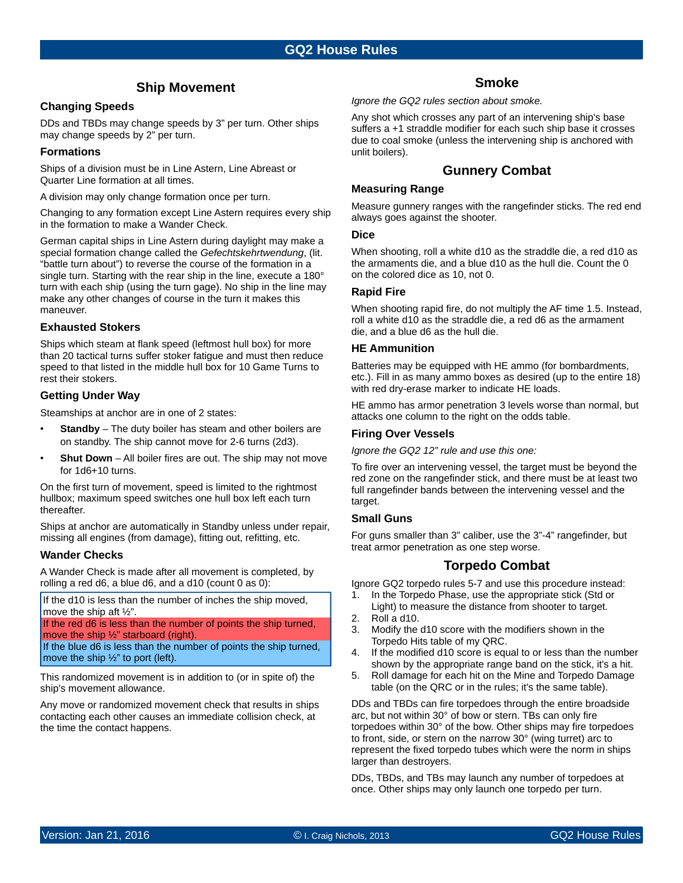# **Ship Movement**

# **Changing Speeds**

DDs and TBDs may change speeds by 3" per turn. Other ships may change speeds by 2" per turn.

## **Formations**

Ships of a division must be in Line Astern, Line Abreast or Quarter Line formation at all times.

A division may only change formation once per turn.

Changing to any formation except Line Astern requires every ship in the formation to make a Wander Check.

German capital ships in Line Astern during daylight may make a special formation change called the *Gefechtskehrtwendung*, (lit. "battle turn about") to reverse the course of the formation in a single turn. Starting with the rear ship in the line, execute a 180° turn with each ship (using the turn gage). No ship in the line may make any other changes of course in the turn it makes this maneuver.

## **Exhausted Stokers**

Ships which steam at flank speed (leftmost hull box) for more than 20 tactical turns suffer stoker fatigue and must then reduce speed to that listed in the middle hull box for 10 Game Turns to rest their stokers.

## **Getting Under Way**

Steamships at anchor are in one of 2 states:

- **Standby** The duty boiler has steam and other boilers are on standby. The ship cannot move for 2-6 turns (2d3).
- **Shut Down** All boiler fires are out. The ship may not move for 1d6+10 turns.

On the first turn of movement, speed is limited to the rightmost hullbox; maximum speed switches one hull box left each turn thereafter.

Ships at anchor are automatically in Standby unless under repair, missing all engines (from damage), fitting out, refitting, etc.

## **Wander Checks**

A Wander Check is made after all movement is completed, by rolling a red d6, a blue d6, and a d10 (count 0 as 0):

If the d10 is less than the number of inches the ship moved, move the ship aft ½".

If the red d6 is less than the number of points the ship turned,

move the ship 1/2" starboard (right). If the blue d6 is less than the number of points the ship turned, move the ship ½" to port (left).

This randomized movement is in addition to (or in spite of) the ship's movement allowance.

Any move or randomized movement check that results in ships contacting each other causes an immediate collision check, at the time the contact happens.

# **Smoke**

*Ignore the GQ2 rules section about smoke.*

Any shot which crosses any part of an intervening ship's base suffers a +1 straddle modifier for each such ship base it crosses due to coal smoke (unless the intervening ship is anchored with unlit boilers).

# **Gunnery Combat**

## **Measuring Range**

Measure gunnery ranges with the rangefinder sticks. The red end always goes against the shooter.

### **Dice**

When shooting, roll a white d10 as the straddle die, a red d10 as the armaments die, and a blue d10 as the hull die. Count the 0 on the colored dice as 10, not 0.

# **Rapid Fire**

When shooting rapid fire, do not multiply the AF time 1.5. Instead, roll a white d10 as the straddle die, a red d6 as the armament die, and a blue d6 as the hull die.

## **HE Ammunition**

Batteries may be equipped with HE ammo (for bombardments, etc.). Fill in as many ammo boxes as desired (up to the entire 18) with red dry-erase marker to indicate HE loads.

HE ammo has armor penetration 3 levels worse than normal, but attacks one column to the right on the odds table.

## **Firing Over Vessels**

*Ignore the GQ2 12" rule and use this one:*

To fire over an intervening vessel, the target must be beyond the red zone on the rangefinder stick, and there must be at least two full rangefinder bands between the intervening vessel and the target.

## **Small Guns**

For guns smaller than 3" caliber, use the 3"-4" rangefinder, but treat armor penetration as one step worse.

# **Torpedo Combat**

Ignore GQ2 torpedo rules 5-7 and use this procedure instead:

- 1. In the Torpedo Phase, use the appropriate stick (Std or
- Light) to measure the distance from shooter to target. 2. Roll a d10.
- 3. Modify the d10 score with the modifiers shown in the Torpedo Hits table of my QRC.
- 4. If the modified d10 score is equal to or less than the number shown by the appropriate range band on the stick, it's a hit.
- 5. Roll damage for each hit on the Mine and Torpedo Damage table (on the QRC or in the rules; it's the same table).

DDs and TBDs can fire torpedoes through the entire broadside arc, but not within 30° of bow or stern. TBs can only fire torpedoes within 30° of the bow. Other ships may fire torpedoes to front, side, or stern on the narrow 30° (wing turret) arc to represent the fixed torpedo tubes which were the norm in ships larger than destroyers.

DDs, TBDs, and TBs may launch any number of torpedoes at once. Other ships may only launch one torpedo per turn.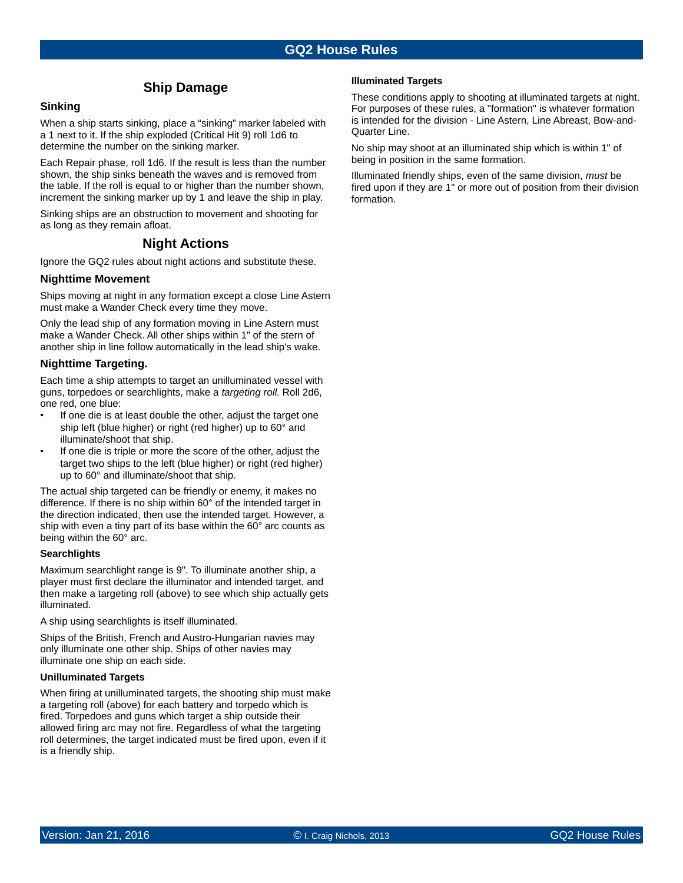# **Ship Damage**

# **Sinking**

When a ship starts sinking, place a "sinking" marker labeled with a 1 next to it. If the ship exploded (Critical Hit 9) roll 1d6 to determine the number on the sinking marker.

Each Repair phase, roll 1d6. If the result is less than the number shown, the ship sinks beneath the waves and is removed from the table. If the roll is equal to or higher than the number shown, increment the sinking marker up by 1 and leave the ship in play.

Sinking ships are an obstruction to movement and shooting for as long as they remain afloat.

# **Night Actions**

Ignore the GQ2 rules about night actions and substitute these.

### **Nighttime Movement**

Ships moving at night in any formation except a close Line Astern must make a Wander Check every time they move.

Only the lead ship of any formation moving in Line Astern must make a Wander Check. All other ships within 1" of the stern of another ship in line follow automatically in the lead ship's wake.

#### **Nighttime Targeting.**

Each time a ship attempts to target an unilluminated vessel with guns, torpedoes or searchlights, make a *targeting roll.* Roll 2d6, one red, one blue:

- If one die is at least double the other, adjust the target one ship left (blue higher) or right (red higher) up to 60° and illuminate/shoot that ship.
- If one die is triple or more the score of the other, adjust the target two ships to the left (blue higher) or right (red higher) up to 60° and illuminate/shoot that ship.

The actual ship targeted can be friendly or enemy, it makes no difference. If there is no ship within 60° of the intended target in the direction indicated, then use the intended target. However, a ship with even a tiny part of its base within the 60° arc counts as being within the 60° arc.

#### **Searchlights**

Maximum searchlight range is 9". To illuminate another ship, a player must first declare the illuminator and intended target, and then make a targeting roll (above) to see which ship actually gets illuminated.

A ship using searchlights is itself illuminated.

Ships of the British, French and Austro-Hungarian navies may only illuminate one other ship. Ships of other navies may illuminate one ship on each side.

#### **Unilluminated Targets**

When firing at unilluminated targets, the shooting ship must make a targeting roll (above) for each battery and torpedo which is fired. Torpedoes and guns which target a ship outside their allowed firing arc may not fire. Regardless of what the targeting roll determines, the target indicated must be fired upon, even if it is a friendly ship.

### **Illuminated Targets**

These conditions apply to shooting at illuminated targets at night. For purposes of these rules, a "formation" is whatever formation is intended for the division - Line Astern, Line Abreast, Bow-and-Quarter Line.

No ship may shoot at an illuminated ship which is within 1" of being in position in the same formation.

Illuminated friendly ships, even of the same division, *must* be fired upon if they are 1" or more out of position from their division formation.